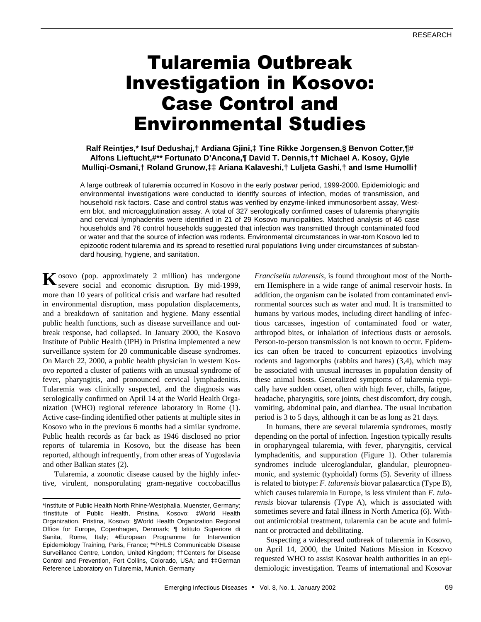# Tularemia Outbreak Investigation in Kosovo: Case Control and Environmental Studies

## **Ralf Reintjes,\* Isuf Dedushaj,† Ardiana Gjini,‡ Tine Rikke Jorgensen,§ Benvon Cotter,¶# Alfons Lieftucht,#\*\* Fortunato D'Ancona,¶ David T. Dennis,†† Michael A. Kosoy, Gjyle Mulliqi-Osmani,† Roland Grunow,‡‡ Ariana Kalaveshi,† Luljeta Gashi,† and Isme Humolli†**

A large outbreak of tularemia occurred in Kosovo in the early postwar period, 1999-2000. Epidemiologic and environmental investigations were conducted to identify sources of infection, modes of transmission, and household risk factors. Case and control status was verified by enzyme-linked immunosorbent assay, Western blot, and microagglutination assay. A total of 327 serologically confirmed cases of tularemia pharyngitis and cervical lymphadenitis were identified in 21 of 29 Kosovo municipalities. Matched analysis of 46 case households and 76 control households suggested that infection was transmitted through contaminated food or water and that the source of infection was rodents. Environmental circumstances in war-torn Kosovo led to epizootic rodent tularemia and its spread to resettled rural populations living under circumstances of substandard housing, hygiene, and sanitation.

osovo (pop. approximately 2 million) has undergone K osovo (pop. approximately 2 million) has undergone<br>severe social and economic disruption. By mid-1999, more than 10 years of political crisis and warfare had resulted in environmental disruption, mass population displacements, and a breakdown of sanitation and hygiene. Many essential public health functions, such as disease surveillance and outbreak response, had collapsed. In January 2000, the Kosovo Institute of Public Health (IPH) in Pristina implemented a new surveillance system for 20 communicable disease syndromes. On March 22, 2000, a public health physician in western Kosovo reported a cluster of patients with an unusual syndrome of fever, pharyngitis, and pronounced cervical lymphadenitis. Tularemia was clinically suspected, and the diagnosis was serologically confirmed on April 14 at the World Health Organization (WHO) regional reference laboratory in Rome (1). Active case-finding identified other patients at multiple sites in Kosovo who in the previous 6 months had a similar syndrome. Public health records as far back as 1946 disclosed no prior reports of tularemia in Kosovo, but the disease has been reported, although infrequently, from other areas of Yugoslavia and other Balkan states (2).

Tularemia, a zoonotic disease caused by the highly infective, virulent, nonsporulating gram-negative coccobacillus *Francisella tularensis*, is found throughout most of the Northern Hemisphere in a wide range of animal reservoir hosts. In addition, the organism can be isolated from contaminated environmental sources such as water and mud. It is transmitted to humans by various modes, including direct handling of infectious carcasses, ingestion of contaminated food or water, arthropod bites, or inhalation of infectious dusts or aerosols. Person-to-person transmission is not known to occur. Epidemics can often be traced to concurrent epizootics involving rodents and lagomorphs (rabbits and hares) (3,4), which may be associated with unusual increases in population density of these animal hosts. Generalized symptoms of tularemia typically have sudden onset, often with high fever, chills, fatigue, headache, pharyngitis, sore joints, chest discomfort, dry cough, vomiting, abdominal pain, and diarrhea. The usual incubation period is 3 to 5 days, although it can be as long as 21 days.

In humans, there are several tularemia syndromes, mostly depending on the portal of infection. Ingestion typically results in oropharyngeal tularemia, with fever, pharyngitis, cervical lymphadenitis, and suppuration (Figure 1). Other tularemia syndromes include ulceroglandular, glandular, pleuropneumonic, and systemic (typhoidal) forms (5). Severity of illness is related to biotype: *F. tularensis* biovar palaearctica (Type B), which causes tularemia in Europe, is less virulent than *F. tularensis* biovar tularensis (Type A), which is associated with sometimes severe and fatal illness in North America (6). Without antimicrobial treatment, tularemia can be acute and fulminant or protracted and debilitating.

Suspecting a widespread outbreak of tularemia in Kosovo, on April 14, 2000, the United Nations Mission in Kosovo requested WHO to assist Kosovar health authorities in an epidemiologic investigation. Teams of international and Kosovar

<sup>\*</sup>Institute of Public Health North Rhine-Westphalia, Muenster, Germany; †Institute of Public Health, Pristina, Kosovo; ‡World Health Organization, Pristina, Kosovo; §World Health Organization Regional Office for Europe, Copenhagen, Denmark; ¶ Istituto Superiore di Sanita, Rome, Italy; #European Programme for Intervention Epidemiology Training, Paris, France; \*\*PHLS Communicable Disease Surveillance Centre, London, United Kingdom; ††Centers for Disease Control and Prevention, Fort Collins, Colorado, USA; and ‡‡German Reference Laboratory on Tularemia, Munich, Germany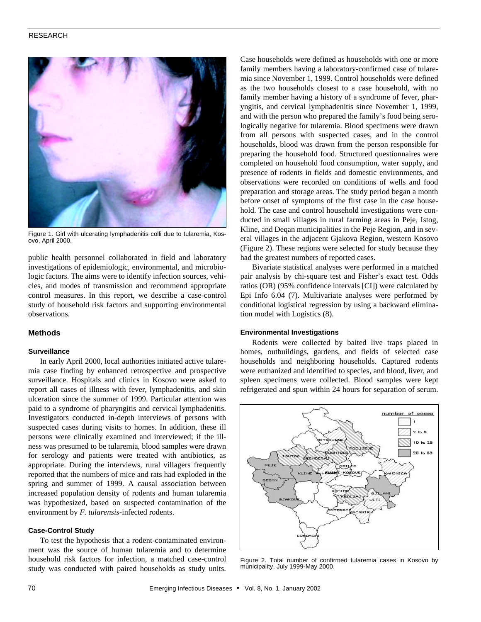## RESEARCH



Figure 1. Girl with ulcerating lymphadenitis colli due to tularemia, Kosovo, April 2000.

public health personnel collaborated in field and laboratory investigations of epidemiologic, environmental, and microbiologic factors. The aims were to identify infection sources, vehicles, and modes of transmission and recommend appropriate control measures. In this report, we describe a case-control study of household risk factors and supporting environmental observations.

## **Methods**

#### **Surveillance**

In early April 2000, local authorities initiated active tularemia case finding by enhanced retrospective and prospective surveillance. Hospitals and clinics in Kosovo were asked to report all cases of illness with fever, lymphadenitis, and skin ulceration since the summer of 1999. Particular attention was paid to a syndrome of pharyngitis and cervical lymphadenitis. Investigators conducted in-depth interviews of persons with suspected cases during visits to homes. In addition, these ill persons were clinically examined and interviewed; if the illness was presumed to be tularemia, blood samples were drawn for serology and patients were treated with antibiotics, as appropriate. During the interviews, rural villagers frequently reported that the numbers of mice and rats had exploded in the spring and summer of 1999. A causal association between increased population density of rodents and human tularemia was hypothesized, based on suspected contamination of the environment by *F. tularensis*-infected rodents.

#### **Case-Control Study**

To test the hypothesis that a rodent-contaminated environment was the source of human tularemia and to determine household risk factors for infection, a matched case-control study was conducted with paired households as study units.

Case households were defined as households with one or more family members having a laboratory-confirmed case of tularemia since November 1, 1999. Control households were defined as the two households closest to a case household, with no family member having a history of a syndrome of fever, pharyngitis, and cervical lymphadenitis since November 1, 1999, and with the person who prepared the family's food being serologically negative for tularemia. Blood specimens were drawn from all persons with suspected cases, and in the control households, blood was drawn from the person responsible for preparing the household food. Structured questionnaires were completed on household food consumption, water supply, and presence of rodents in fields and domestic environments, and observations were recorded on conditions of wells and food preparation and storage areas. The study period began a month before onset of symptoms of the first case in the case household. The case and control household investigations were conducted in small villages in rural farming areas in Peje, Istog, Kline, and Deqan municipalities in the Peje Region, and in several villages in the adjacent Gjakova Region, western Kosovo (Figure 2). These regions were selected for study because they had the greatest numbers of reported cases.

Bivariate statistical analyses were performed in a matched pair analysis by chi-square test and Fisher's exact test. Odds ratios (OR) (95% confidence intervals [CI]) were calculated by Epi Info 6.04 (7). Multivariate analyses were performed by conditional logistical regression by using a backward elimination model with Logistics (8).

#### **Environmental Investigations**

Rodents were collected by baited live traps placed in homes, outbuildings, gardens, and fields of selected case households and neighboring households. Captured rodents were euthanized and identified to species, and blood, liver, and spleen specimens were collected. Blood samples were kept refrigerated and spun within 24 hours for separation of serum.



Figure 2. Total number of confirmed tularemia cases in Kosovo by municipality, July 1999-May 2000.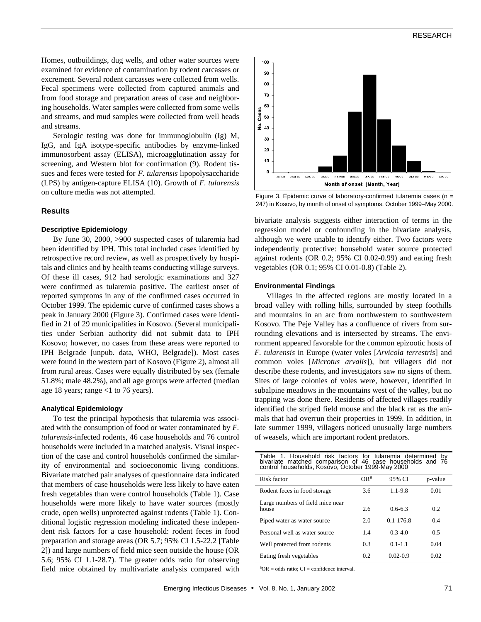## RESEARCH

Homes, outbuildings, dug wells, and other water sources were examined for evidence of contamination by rodent carcasses or excrement. Several rodent carcasses were collected from wells. Fecal specimens were collected from captured animals and from food storage and preparation areas of case and neighboring households. Water samples were collected from some wells and streams, and mud samples were collected from well heads and streams.

Serologic testing was done for immunoglobulin (Ig) M, IgG, and IgA isotype-specific antibodies by enzyme-linked immunosorbent assay (ELISA), microagglutination assay for screening, and Western blot for confirmation (9). Rodent tissues and feces were tested for *F. tularensis* lipopolysaccharide (LPS) by antigen-capture ELISA (10). Growth of *F. tularensis* on culture media was not attempted.

## **Results**

#### **Descriptive Epidemiology**

By June 30, 2000, >900 suspected cases of tularemia had been identified by IPH. This total included cases identified by retrospective record review, as well as prospectively by hospitals and clinics and by health teams conducting village surveys. Of these ill cases, 912 had serologic examinations and 327 were confirmed as tularemia positive. The earliest onset of reported symptoms in any of the confirmed cases occurred in October 1999. The epidemic curve of confirmed cases shows a peak in January 2000 (Figure 3). Confirmed cases were identified in 21 of 29 municipalities in Kosovo. (Several municipalities under Serbian authority did not submit data to IPH Kosovo; however, no cases from these areas were reported to IPH Belgrade [unpub. data, WHO, Belgrade]). Most cases were found in the western part of Kosovo (Figure 2), almost all from rural areas. Cases were equally distributed by sex (female 51.8%; male 48.2%), and all age groups were affected (median age 18 years; range <1 to 76 years).

#### **Analytical Epidemiology**

To test the principal hypothesis that tularemia was associated with the consumption of food or water contaminated by *F. tularensis*-infected rodents, 46 case households and 76 control households were included in a matched analysis. Visual inspection of the case and control households confirmed the similarity of environmental and socioeconomic living conditions. Bivariate matched pair analyses of questionnaire data indicated that members of case households were less likely to have eaten fresh vegetables than were control households (Table 1). Case households were more likely to have water sources (mostly crude, open wells) unprotected against rodents (Table 1). Conditional logistic regression modeling indicated these independent risk factors for a case household: rodent feces in food preparation and storage areas (OR 5.7; 95% CI 1.5-22.2 [Table 2]) and large numbers of field mice seen outside the house (OR 5.6; 95% CI 1.1-28.7). The greater odds ratio for observing field mice obtained by multivariate analysis compared with



Figure 3. Epidemic curve of laboratory-confirmed tularemia cases (n = 247) in Kosovo, by month of onset of symptoms, October 1999–May 2000.

bivariate analysis suggests either interaction of terms in the regression model or confounding in the bivariate analysis, although we were unable to identify either. Two factors were independently protective: household water source protected against rodents (OR 0.2; 95% CI 0.02-0.99) and eating fresh vegetables (OR 0.1; 95% CI 0.01-0.8) (Table 2).

#### **Environmental Findings**

Villages in the affected regions are mostly located in a broad valley with rolling hills, surrounded by steep foothills and mountains in an arc from northwestern to southwestern Kosovo. The Peje Valley has a confluence of rivers from surrounding elevations and is intersected by streams. The environment appeared favorable for the common epizootic hosts of *F. tularensis* in Europe (water voles [*Arvicola terrestris*] and common voles [*Microtus arvalis*]), but villagers did not describe these rodents, and investigators saw no signs of them. Sites of large colonies of voles were, however, identified in subalpine meadows in the mountains west of the valley, but no trapping was done there. Residents of affected villages readily identified the striped field mouse and the black rat as the animals that had overrun their properties in 1999. In addition, in late summer 1999, villagers noticed unusually large numbers of weasels, which are important rodent predators.

| Table 1. Household risk factors for tularemia determined<br>bv<br>bivariate matched comparison of 46 case households and 76 control households, Kosovo, October 1999-May 2000 |                 |               |         |  |
|-------------------------------------------------------------------------------------------------------------------------------------------------------------------------------|-----------------|---------------|---------|--|
| Risk factor                                                                                                                                                                   | OR <sup>a</sup> | 95% CI        | p-value |  |
| Rodent feces in food storage                                                                                                                                                  | 3.6             | $1.1 - 9.8$   | 0.01    |  |
| Large numbers of field mice near<br>house                                                                                                                                     | 2.6             | $0.6 - 6.3$   | 0.2     |  |
| Piped water as water source                                                                                                                                                   | 2.0             | $0.1 - 176.8$ | 0.4     |  |
| Personal well as water source                                                                                                                                                 | 1.4             | $0.3 - 4.0$   | 0.5     |  |
| Well protected from rodents                                                                                                                                                   | 0.3             | $0.1 - 1.1$   | 0.04    |  |
| Eating fresh vegetables                                                                                                                                                       | 0.2             | $0.02 - 0.9$  | 0.02    |  |

 ${}^{a}OR =$  odds ratio;  $CI =$  confidence interval.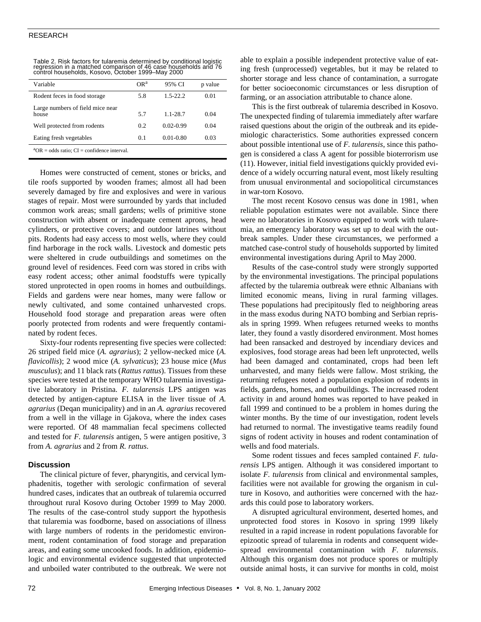## RESEARCH

| Variable                                        | OR <sup>a</sup> | 95% CI        | p value |
|-------------------------------------------------|-----------------|---------------|---------|
| Rodent feces in food storage                    | 5.8             | $1.5 - 22.2$  | 0.01    |
| Large numbers of field mice near<br>house       | 5.7             | $1.1 - 28.7$  | 0.04    |
| Well protected from rodents                     | 0.2             | $0.02 - 0.99$ | 0.04    |
| Eating fresh vegetables                         | 0.1             | $0.01 - 0.80$ | 0.03    |
| $^4$ OR = odds ratio; CI = confidence interval. |                 |               |         |

Table 2. Risk factors for tularemia determined by conditional logistic regression in a matched comparison of 46 case households and 76 control households, Kosovo, October 1999–May 2000

Homes were constructed of cement, stones or bricks, and tile roofs supported by wooden frames; almost all had been severely damaged by fire and explosives and were in various stages of repair. Most were surrounded by yards that included common work areas; small gardens; wells of primitive stone construction with absent or inadequate cement aprons, head cylinders, or protective covers; and outdoor latrines without pits. Rodents had easy access to most wells, where they could find harborage in the rock walls. Livestock and domestic pets were sheltered in crude outbuildings and sometimes on the ground level of residences. Feed corn was stored in cribs with easy rodent access; other animal foodstuffs were typically stored unprotected in open rooms in homes and outbuildings. Fields and gardens were near homes, many were fallow or newly cultivated, and some contained unharvested crops. Household food storage and preparation areas were often poorly protected from rodents and were frequently contaminated by rodent feces.

Sixty-four rodents representing five species were collected: 26 striped field mice (*A. agrarius*); 2 yellow-necked mice (*A. flavicollis*); 2 wood mice (*A. sylvaticus*); 23 house mice (*Mus musculus*); and 11 black rats (*Rattus rattus*). Tissues from these species were tested at the temporary WHO tularemia investigative laboratory in Pristina. *F. tularensis* LPS antigen was detected by antigen-capture ELISA in the liver tissue of *A. agrarius* (Deqan municipality) and in an *A. agrarius* recovered from a well in the village in Gjakova, where the index cases were reported. Of 48 mammalian fecal specimens collected and tested for *F. tularensis* antigen, 5 were antigen positive, 3 from *A. agrarius* and 2 from *R. rattus*.

#### **Discussion**

The clinical picture of fever, pharyngitis, and cervical lymphadenitis, together with serologic confirmation of several hundred cases, indicates that an outbreak of tularemia occurred throughout rural Kosovo during October 1999 to May 2000. The results of the case-control study support the hypothesis that tularemia was foodborne, based on associations of illness with large numbers of rodents in the peridomestic environment, rodent contamination of food storage and preparation areas, and eating some uncooked foods. In addition, epidemiologic and environmental evidence suggested that unprotected and unboiled water contributed to the outbreak. We were not able to explain a possible independent protective value of eating fresh (unprocessed) vegetables, but it may be related to shorter storage and less chance of contamination, a surrogate for better socioeconomic circumstances or less disruption of farming, or an association attributable to chance alone.

This is the first outbreak of tularemia described in Kosovo. The unexpected finding of tularemia immediately after warfare raised questions about the origin of the outbreak and its epidemiologic characteristics. Some authorities expressed concern about possible intentional use of *F. tularensis*, since this pathogen is considered a class A agent for possible bioterrorism use (11). However, initial field investigations quickly provided evidence of a widely occurring natural event, most likely resulting from unusual environmental and sociopolitical circumstances in war-torn Kosovo.

The most recent Kosovo census was done in 1981, when reliable population estimates were not available. Since there were no laboratories in Kosovo equipped to work with tularemia, an emergency laboratory was set up to deal with the outbreak samples. Under these circumstances, we performed a matched case-control study of households supported by limited environmental investigations during April to May 2000.

Results of the case-control study were strongly supported by the environmental investigations. The principal populations affected by the tularemia outbreak were ethnic Albanians with limited economic means, living in rural farming villages. These populations had precipitously fled to neighboring areas in the mass exodus during NATO bombing and Serbian reprisals in spring 1999. When refugees returned weeks to months later, they found a vastly disordered environment. Most homes had been ransacked and destroyed by incendiary devices and explosives, food storage areas had been left unprotected, wells had been damaged and contaminated, crops had been left unharvested, and many fields were fallow. Most striking, the returning refugees noted a population explosion of rodents in fields, gardens, homes, and outbuildings. The increased rodent activity in and around homes was reported to have peaked in fall 1999 and continued to be a problem in homes during the winter months. By the time of our investigation, rodent levels had returned to normal. The investigative teams readily found signs of rodent activity in houses and rodent contamination of wells and food materials.

Some rodent tissues and feces sampled contained *F. tularensis* LPS antigen. Although it was considered important to isolate *F. tularensis* from clinical and environmental samples, facilities were not available for growing the organism in culture in Kosovo, and authorities were concerned with the hazards this could pose to laboratory workers.

A disrupted agricultural environment, deserted homes, and unprotected food stores in Kosovo in spring 1999 likely resulted in a rapid increase in rodent populations favorable for epizootic spread of tularemia in rodents and consequent widespread environmental contamination with *F. tularensis*. Although this organism does not produce spores or multiply outside animal hosts, it can survive for months in cold, moist